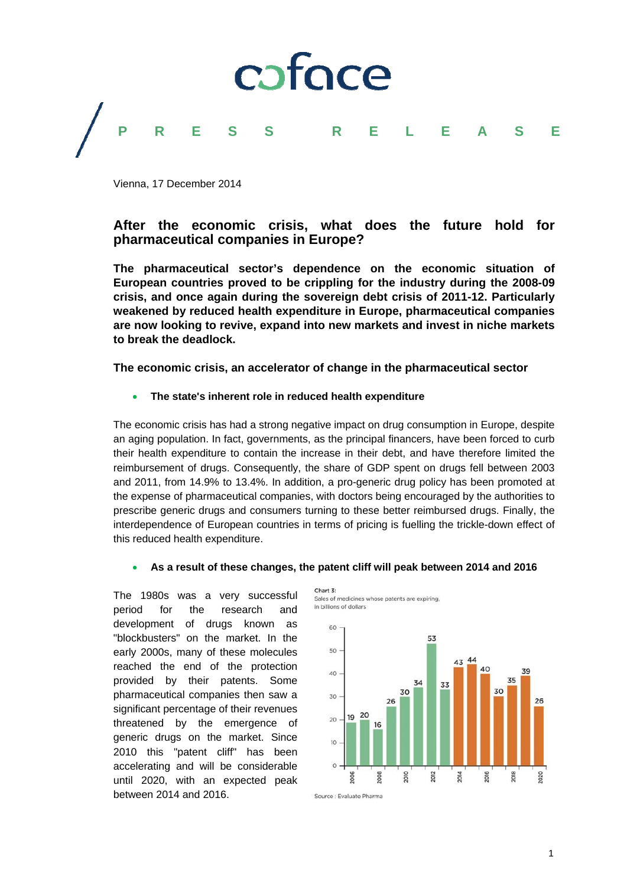

Vienna, 17 December 2014

# **After the economic crisis, what does the future hold for pharmaceutical companies in Europe?**

**The pharmaceutical sector's dependence on the economic situation of European countries proved to be crippling for the industry during the 2008-09 crisis, and once again during the sovereign debt crisis of 2011-12. Particularly weakened by reduced health expenditure in Europe, pharmaceutical companies are now looking to revive, expand into new markets and invest in niche markets to break the deadlock.** 

**The economic crisis, an accelerator of change in the pharmaceutical sector**

#### **The state's inherent role in reduced health expenditure**

The economic crisis has had a strong negative impact on drug consumption in Europe, despite an aging population. In fact, governments, as the principal financers, have been forced to curb their health expenditure to contain the increase in their debt, and have therefore limited the reimbursement of drugs. Consequently, the share of GDP spent on drugs fell between 2003 and 2011, from 14.9% to 13.4%. In addition, a pro-generic drug policy has been promoted at the expense of pharmaceutical companies, with doctors being encouraged by the authorities to prescribe generic drugs and consumers turning to these better reimbursed drugs. Finally, the interdependence of European countries in terms of pricing is fuelling the trickle-down effect of this reduced health expenditure.

#### **As a result of these changes, the patent cliff will peak between 2014 and 2016**

The 1980s was a very successful period for the research and development of drugs known as "blockbusters" on the market. In the early 2000s, many of these molecules reached the end of the protection provided by their patents. Some pharmaceutical companies then saw a significant percentage of their revenues threatened by the emergence of generic drugs on the market. Since 2010 this "patent cliff" has been accelerating and will be considerable until 2020, with an expected peak between 2014 and 2016.

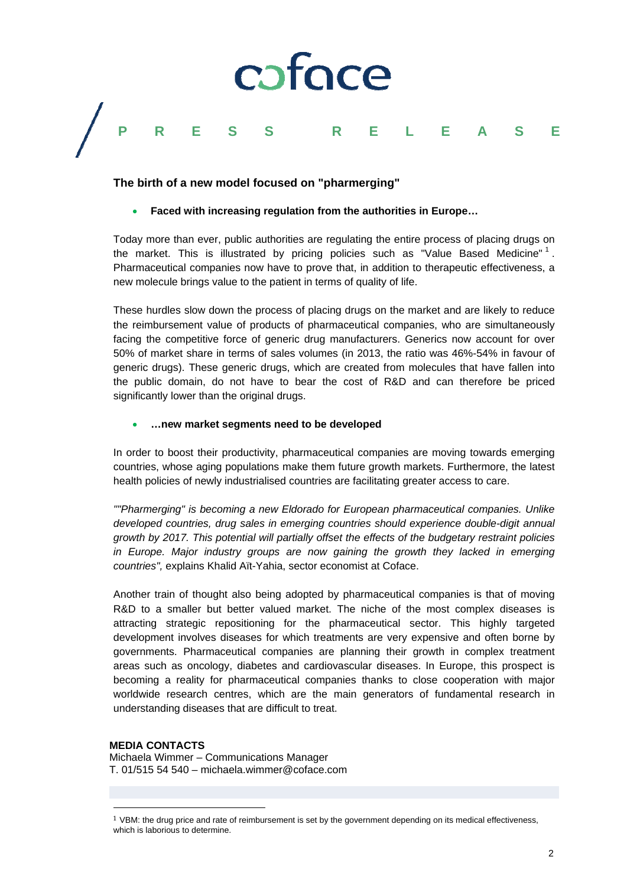

### **The birth of a new model focused on "pharmerging"**

#### **Faced with increasing regulation from the authorities in Europe…**

Today more than ever, public authorities are regulating the entire process of placing drugs on the market. This is illustrated by pricing policies such as "Value Based Medicine"  $\frac{1}{1}$ . Pharmaceutical companies now have to prove that, in addition to therapeutic effectiveness, a new molecule brings value to the patient in terms of quality of life.

These hurdles slow down the process of placing drugs on the market and are likely to reduce the reimbursement value of products of pharmaceutical companies, who are simultaneously facing the competitive force of generic drug manufacturers. Generics now account for over 50% of market share in terms of sales volumes (in 2013, the ratio was 46%-54% in favour of generic drugs). These generic drugs, which are created from molecules that have fallen into the public domain, do not have to bear the cost of R&D and can therefore be priced significantly lower than the original drugs.

#### **…new market segments need to be developed**

In order to boost their productivity, pharmaceutical companies are moving towards emerging countries, whose aging populations make them future growth markets. Furthermore, the latest health policies of newly industrialised countries are facilitating greater access to care.

*""Pharmerging" is becoming a new Eldorado for European pharmaceutical companies. Unlike developed countries, drug sales in emerging countries should experience double-digit annual growth by 2017. This potential will partially offset the effects of the budgetary restraint policies in Europe. Major industry groups are now gaining the growth they lacked in emerging countries",* explains Khalid Aït-Yahia, sector economist at Coface.

Another train of thought also being adopted by pharmaceutical companies is that of moving R&D to a smaller but better valued market. The niche of the most complex diseases is attracting strategic repositioning for the pharmaceutical sector. This highly targeted development involves diseases for which treatments are very expensive and often borne by governments. Pharmaceutical companies are planning their growth in complex treatment areas such as oncology, diabetes and cardiovascular diseases. In Europe, this prospect is becoming a reality for pharmaceutical companies thanks to close cooperation with major worldwide research centres, which are the main generators of fundamental research in understanding diseases that are difficult to treat.

## **MEDIA CONTACTS**

 

Michaela Wimmer – Communications Manager T. 01/515 54 540 – michaela.wimmer@coface.com

 $1$  VBM: the drug price and rate of reimbursement is set by the government depending on its medical effectiveness, which is laborious to determine.